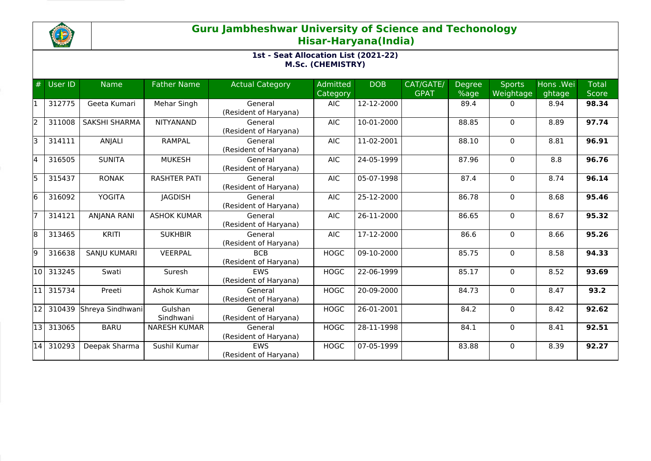

| #     | User ID | <b>Name</b>          | <b>Father Name</b>   | <b>Actual Category</b>              | Admitted<br>Category | <b>DOB</b> | CAT/GATE/<br><b>GPAT</b> | <b>Degree</b><br>%age | <b>Sports</b><br>Weightage | Hons .Wei<br>ghtage | <b>Total</b><br>Score |
|-------|---------|----------------------|----------------------|-------------------------------------|----------------------|------------|--------------------------|-----------------------|----------------------------|---------------------|-----------------------|
|       | 312775  | Geeta Kumari         | Mehar Singh          | General<br>(Resident of Haryana)    | <b>AIC</b>           | 12-12-2000 |                          | 89.4                  | $\mathbf{0}$               | 8.94                | 98.34                 |
| l2    | 311008  | <b>SAKSHI SHARMA</b> | <b>NITYANAND</b>     | General<br>(Resident of Haryana)    | <b>AIC</b>           | 10-01-2000 |                          | 88.85                 | $\mathbf{0}$               | 8.89                | 97.74                 |
| l3    | 314111  | ANJALI               | <b>RAMPAL</b>        | General<br>(Resident of Haryana)    | <b>AIC</b>           | 11-02-2001 |                          | 88.10                 | $\Omega$                   | 8.81                | 96.91                 |
| l4    | 316505  | <b>SUNITA</b>        | <b>MUKESH</b>        | General<br>(Resident of Haryana)    | <b>AIC</b>           | 24-05-1999 |                          | 87.96                 | 0                          | 8.8                 | 96.76                 |
| l5    | 315437  | <b>RONAK</b>         | <b>RASHTER PATI</b>  | General<br>(Resident of Haryana)    | <b>AIC</b>           | 05-07-1998 |                          | 87.4                  | 0                          | 8.74                | 96.14                 |
| l6    | 316092  | <b>YOGITA</b>        | <b>JAGDISH</b>       | General<br>(Resident of Haryana)    | <b>AIC</b>           | 25-12-2000 |                          | 86.78                 | 0                          | 8.68                | 95.46                 |
|       | 314121  | <b>ANJANA RANI</b>   | <b>ASHOK KUMAR</b>   | General<br>(Resident of Haryana)    | <b>AIC</b>           | 26-11-2000 |                          | 86.65                 | $\Omega$                   | 8.67                | 95.32                 |
| 18    | 313465  | <b>KRITI</b>         | <b>SUKHBIR</b>       | General<br>(Resident of Haryana)    | <b>AIC</b>           | 17-12-2000 |                          | 86.6                  | 0                          | 8.66                | 95.26                 |
| l9    | 316638  | SANJU KUMARI         | <b>VEERPAL</b>       | <b>BCB</b><br>(Resident of Haryana) | <b>HOGC</b>          | 09-10-2000 |                          | 85.75                 | 0                          | 8.58                | 94.33                 |
| l10 l | 313245  | Swati                | Suresh               | <b>FWS</b><br>(Resident of Haryana) | <b>HOGC</b>          | 22-06-1999 |                          | 85.17                 | 0                          | 8.52                | 93.69                 |
| l11   | 315734  | Preeti               | Ashok Kumar          | General<br>(Resident of Haryana)    | <b>HOGC</b>          | 20-09-2000 |                          | 84.73                 | $\Omega$                   | 8.47                | 93.2                  |
| 12    | 310439  | Shreya Sindhwani     | Gulshan<br>Sindhwani | General<br>(Resident of Haryana)    | <b>HOGC</b>          | 26-01-2001 |                          | 84.2                  | 0                          | 8.42                | 92.62                 |
| 13    | 313065  | <b>BARU</b>          | <b>NARESH KUMAR</b>  | General<br>(Resident of Haryana)    | <b>HOGC</b>          | 28-11-1998 |                          | 84.1                  | 0                          | 8.41                | 92.51                 |
| 14    | 310293  | Deepak Sharma        | Sushil Kumar         | <b>FWS</b><br>(Resident of Haryana) | <b>HOGC</b>          | 07-05-1999 |                          | 83.88                 | 0                          | 8.39                | 92.27                 |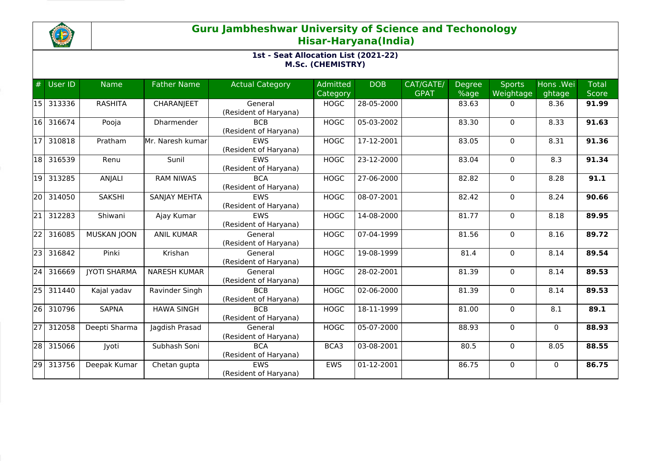

| #               | <b>User ID</b> | <b>Name</b>         | <b>Father Name</b>  | <b>Actual Category</b>              | Admitted    | <b>DOB</b> | CAT/GATE/   | <b>Degree</b> | <b>Sports</b> | Hons .Wei    | <b>Total</b> |
|-----------------|----------------|---------------------|---------------------|-------------------------------------|-------------|------------|-------------|---------------|---------------|--------------|--------------|
|                 |                |                     |                     |                                     | Category    |            | <b>GPAT</b> | %age          | Weightage     | ghtage       | <b>Score</b> |
| 15              | 313336         | <b>RASHITA</b>      | <b>CHARANJEET</b>   | General<br>(Resident of Haryana)    | <b>HOGC</b> | 28-05-2000 |             | 83.63         | 0             | 8.36         | 91.99        |
| 16              | 316674         | Pooja               | Dharmender          | <b>BCB</b><br>(Resident of Haryana) | <b>HOGC</b> | 05-03-2002 |             | 83.30         | 0             | 8.33         | 91.63        |
| 17              | 310818         | Pratham             | Mr. Naresh kumar    | <b>EWS</b><br>(Resident of Haryana) | <b>HOGC</b> | 17-12-2001 |             | 83.05         | 0             | 8.31         | 91.36        |
| 18              | 316539         | Renu                | Sunil               | <b>EWS</b><br>(Resident of Haryana) | <b>HOGC</b> | 23-12-2000 |             | 83.04         | $\mathbf 0$   | 8.3          | 91.34        |
| 19              | 313285         | ANJALI              | <b>RAM NIWAS</b>    | <b>BCA</b><br>(Resident of Haryana) | <b>HOGC</b> | 27-06-2000 |             | 82.82         | $\mathbf 0$   | 8.28         | 91.1         |
| 20              | 314050         | <b>SAKSHI</b>       | <b>SANJAY MEHTA</b> | <b>EWS</b><br>(Resident of Haryana) | <b>HOGC</b> | 08-07-2001 |             | 82.42         | $\mathbf{0}$  | 8.24         | 90.66        |
| 21              | 312283         | Shiwani             | Ajay Kumar          | EWS<br>(Resident of Haryana)        | <b>HOGC</b> | 14-08-2000 |             | 81.77         | 0             | 8.18         | 89.95        |
| $\overline{22}$ | 316085         | <b>MUSKAN JOON</b>  | <b>ANIL KUMAR</b>   | General<br>(Resident of Haryana)    | <b>HOGC</b> | 07-04-1999 |             | 81.56         | $\mathbf 0$   | 8.16         | 89.72        |
| 23              | 316842         | Pinki               | Krishan             | General<br>(Resident of Haryana)    | <b>HOGC</b> | 19-08-1999 |             | 81.4          | 0             | 8.14         | 89.54        |
| $\overline{24}$ | 316669         | <b>JYOTI SHARMA</b> | <b>NARESH KUMAR</b> | General<br>(Resident of Haryana)    | <b>HOGC</b> | 28-02-2001 |             | 81.39         | $\mathbf 0$   | 8.14         | 89.53        |
| 25              | 311440         | Kajal yadav         | Ravinder Singh      | <b>BCB</b><br>(Resident of Haryana) | <b>HOGC</b> | 02-06-2000 |             | 81.39         | $\Omega$      | 8.14         | 89.53        |
| 261             | 310796         | <b>SAPNA</b>        | <b>HAWA SINGH</b>   | <b>BCB</b><br>(Resident of Haryana) | <b>HOGC</b> | 18-11-1999 |             | 81.00         | $\mathbf 0$   | 8.1          | 89.1         |
| $\overline{27}$ | 312058         | Deepti Sharma       | Jagdish Prasad      | General<br>(Resident of Haryana)    | <b>HOGC</b> | 05-07-2000 |             | 88.93         | $\mathbf 0$   | $\mathbf{0}$ | 88.93        |
| $\overline{28}$ | 315066         | Jyoti               | Subhash Soni        | <b>BCA</b><br>(Resident of Haryana) | BCA3        | 03-08-2001 |             | 80.5          | 0             | 8.05         | 88.55        |
| 29              | 313756         | Deepak Kumar        | Chetan gupta        | <b>EWS</b><br>(Resident of Haryana) | <b>EWS</b>  | 01-12-2001 |             | 86.75         | $\mathbf 0$   | $\Omega$     | 86.75        |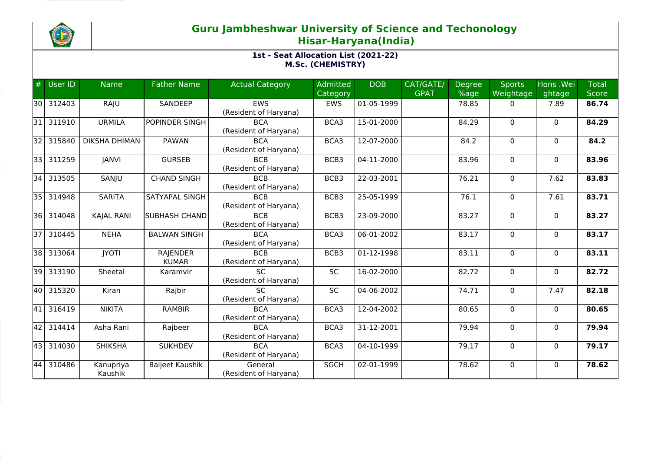

| #    | <b>User ID</b> | <b>Name</b>          | <b>Father Name</b>     | <b>Actual Category</b> | Admitted    | <b>DOB</b> | CAT/GATE/<br><b>GPAT</b> | <b>Degree</b> | <b>Sports</b> | Hons .Wei    | <b>Total</b> |
|------|----------------|----------------------|------------------------|------------------------|-------------|------------|--------------------------|---------------|---------------|--------------|--------------|
|      |                |                      |                        |                        | Category    |            |                          | %age          | Weightage     | ghtage       | <b>Score</b> |
| 30 I | 312403         | RAJU                 | SANDEEP                | <b>EWS</b>             | <b>EWS</b>  | 01-05-1999 |                          | 78.85         | 0             | 7.89         | 86.74        |
|      |                |                      |                        | (Resident of Haryana)  |             |            |                          |               |               |              |              |
| 31   | 311910         | <b>URMILA</b>        | POPINDER SINGH         | <b>BCA</b>             | BCA3        | 15-01-2000 |                          | 84.29         | $\mathbf 0$   | $\mathbf{0}$ | 84.29        |
|      |                |                      |                        | (Resident of Haryana)  |             |            |                          |               |               |              |              |
| 32   | 315840         | <b>DIKSHA DHIMAN</b> | PAWAN                  | <b>BCA</b>             | BCA3        | 12-07-2000 |                          | 84.2          | $\Omega$      | $\Omega$     | 84.2         |
|      |                |                      |                        | (Resident of Haryana)  |             |            |                          |               |               |              |              |
| 331  | 311259         | <b>JANVI</b>         | <b>GURSEB</b>          | <b>BCB</b>             | BCB3        | 04-11-2000 |                          | 83.96         | $\mathbf 0$   | $\mathbf{0}$ | 83.96        |
|      |                |                      |                        | (Resident of Haryana)  |             |            |                          |               |               |              |              |
| 34   | 313505         | SANJU                | <b>CHAND SINGH</b>     | <b>BCB</b>             | BCB3        | 22-03-2001 |                          | 76.21         | 0             | 7.62         | 83.83        |
|      |                |                      |                        | (Resident of Haryana)  |             |            |                          |               |               |              |              |
| 35 I | 314948         | <b>SARITA</b>        | SATYAPAL SINGH         | <b>BCB</b>             | BCB3        | 25-05-1999 |                          | 76.1          | 0             | 7.61         | 83.71        |
|      |                |                      |                        | (Resident of Haryana)  |             |            |                          |               |               |              |              |
| 36 I | 314048         | <b>KAJAL RANI</b>    | SUBHASH CHAND          | <b>BCB</b>             | BCB3        | 23-09-2000 |                          | 83.27         | 0             | $\mathbf{0}$ | 83.27        |
|      |                |                      |                        | (Resident of Haryana)  |             |            |                          |               |               |              |              |
| 37   | 310445         | <b>NEHA</b>          | <b>BALWAN SINGH</b>    | <b>BCA</b>             | BCA3        | 06-01-2002 |                          | 83.17         | $\mathbf 0$   | $\mathbf{0}$ | 83.17        |
|      |                |                      |                        | (Resident of Haryana)  |             |            |                          |               |               |              |              |
| 38 I | 313064         | <b>JYOTI</b>         | <b>RAJENDER</b>        | <b>BCB</b>             | BCB3        | 01-12-1998 |                          | 83.11         | 0             | $\mathbf{0}$ | 83.11        |
|      |                |                      | <b>KUMAR</b>           | (Resident of Haryana)  |             |            |                          |               |               |              |              |
| 39   | 313190         | Sheetal              | Karamvir               | $\overline{SC}$        | <b>SC</b>   | 16-02-2000 |                          | 82.72         | 0             | $\mathbf 0$  | 82.72        |
|      |                |                      |                        | (Resident of Haryana)  |             |            |                          |               |               |              |              |
| 40 l | 315320         | Kiran                | Rajbir                 | <b>SC</b>              | <b>SC</b>   | 04-06-2002 |                          | 74.71         | $\mathbf 0$   | 7.47         | 82.18        |
|      |                |                      |                        | (Resident of Haryana)  |             |            |                          |               |               |              |              |
| 41   | 316419         | <b>NIKITA</b>        | <b>RAMBIR</b>          | <b>BCA</b>             | BCA3        | 12-04-2002 |                          | 80.65         | $\mathbf 0$   | $\Omega$     | 80.65        |
|      |                |                      |                        | (Resident of Haryana)  |             |            |                          |               |               |              |              |
| 42   | 314414         | Asha Rani            | Rajbeer                | <b>BCA</b>             | BCA3        | 31-12-2001 |                          | 79.94         | 0             | $\mathbf{0}$ | 79.94        |
|      |                |                      |                        | (Resident of Haryana)  |             |            |                          |               |               |              |              |
| 43   | 314030         | <b>SHIKSHA</b>       | <b>SUKHDEV</b>         | <b>BCA</b>             | BCA3        | 04-10-1999 |                          | 79.17         | $\mathbf 0$   | $\mathbf{0}$ | 79.17        |
|      |                |                      |                        | (Resident of Haryana)  |             |            |                          |               |               |              |              |
| 44   | 310486         | Kanupriya            | <b>Baljeet Kaushik</b> | General                | <b>SGCH</b> | 02-01-1999 |                          | 78.62         | $\mathbf 0$   | $\Omega$     | 78.62        |
|      |                | Kaushik              |                        | (Resident of Haryana)  |             |            |                          |               |               |              |              |